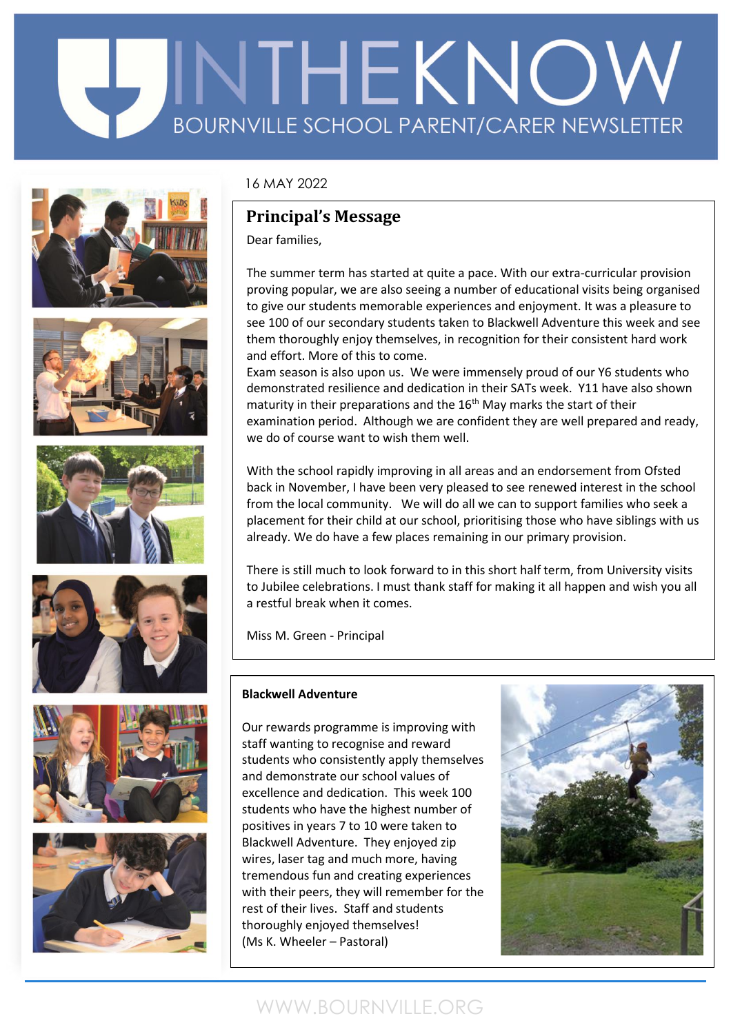# EDINTHE KNOW **BOURNVILLE SCHOOL PARENT/CARER NEWSLETTER**













### 16 MAY 2022

### **Principal's Message**

Dear families,

The summer term has started at quite a pace. With our extra-curricular provision proving popular, we are also seeing a number of educational visits being organised to give our students memorable experiences and enjoyment. It was a pleasure to see 100 of our secondary students taken to Blackwell Adventure this week and see them thoroughly enjoy themselves, in recognition for their consistent hard work and effort. More of this to come.

Exam season is also upon us. We were immensely proud of our Y6 students who demonstrated resilience and dedication in their SATs week. Y11 have also shown maturity in their preparations and the 16<sup>th</sup> May marks the start of their examination period. Although we are confident they are well prepared and ready, we do of course want to wish them well.

With the school rapidly improving in all areas and an endorsement from Ofsted back in November, I have been very pleased to see renewed interest in the school from the local community. We will do all we can to support families who seek a placement for their child at our school, prioritising those who have siblings with us already. We do have a few places remaining in our primary provision.

There is still much to look forward to in this short half term, from University visits to Jubilee celebrations. I must thank staff for making it all happen and wish you all a restful break when it comes.

Miss M. Green - Principal

### **Blackwell Adventure**

Our rewards programme is improving with staff wanting to recognise and reward students who consistently apply themselves and demonstrate our school values of excellence and dedication. This week 100 students who have the highest number of positives in years 7 to 10 were taken to Blackwell Adventure. They enjoyed zip wires, laser tag and much more, having tremendous fun and creating experiences with their peers, they will remember for the rest of their lives. Staff and students thoroughly enjoyed themselves! (Ms K. Wheeler – Pastoral)



### WWW.BOURNVILLE.ORG